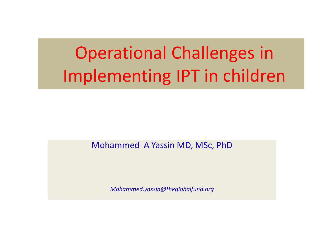# Operational Challenges in Implementing IPT in children

Mohammed A Yassin MD, MSc, PhD

*Mohammed.yassin@theglobalfund.org*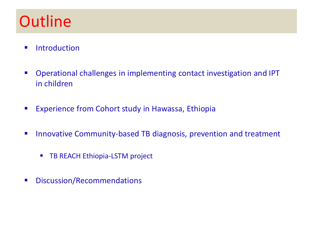# **Outline**

- **Introduction**
- Operational challenges in implementing contact investigation and IPT in children
- **EXPERIERGE FROM Cohort study in Hawassa, Ethiopia**
- **Innovative Community-based TB diagnosis, prevention and treatment** 
	- **TB REACH Ethiopia-LSTM project**
- **■** Discussion/Recommendations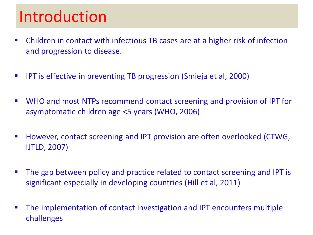## Introduction

- Children in contact with infectious TB cases are at a higher risk of infection and progression to disease.
- **IFT** IPT is effective in preventing TB progression (Smieja et al, 2000)
- WHO and most NTPs recommend contact screening and provision of IPT for asymptomatic children age <5 years (WHO, 2006)
- However, contact screening and IPT provision are often overlooked (CTWG, IJTLD, 2007)
- The gap between policy and practice related to contact screening and IPT is significant especially in developing countries (Hill et al, 2011)
- The implementation of contact investigation and IPT encounters multiple challenges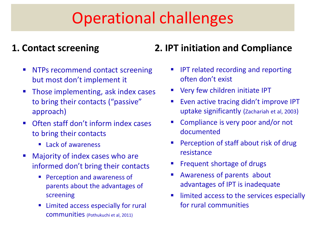# Operational challenges

#### **1. Contact screening**

- **NTPs recommend contact screening** but most don't implement it
- Those implementing, ask index cases to bring their contacts ("passive" approach)
- Often staff don't inform index cases to bring their contacts
	- Lack of awareness
- **Majority of index cases who are** informed don't bring their contacts
	- **Perception and awareness of** parents about the advantages of screening
	- Limited access especially for rural communities (Pothukuchi et al, 2011)

#### **2. IPT initiation and Compliance**

- IPT related recording and reporting often don't exist
- **Very few children initiate IPT**
- Even active tracing didn't improve IPT uptake significantly (Zachariah et al, 2003)
- Compliance is very poor and/or not documented
- Perception of staff about risk of drug resistance
- Frequent shortage of drugs
- Awareness of parents about advantages of IPT is inadequate
- limited access to the services especially for rural communities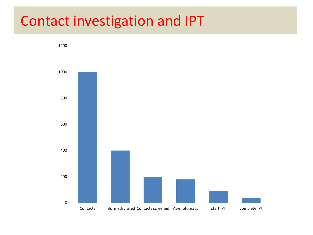### Contact investigation and IPT

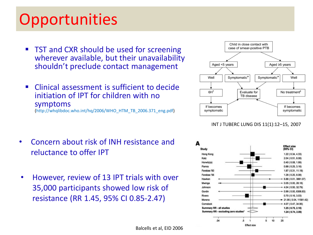## **Opportunities**

- TST and CXR should be used for screening wherever available, but their unavailability shouldn't preclude contact management
- Clinical assessment is sufficient to decide initiation of IPT for children with no symptoms (http://whqlibdoc.who.int/hq/2006/WHO\_HTM\_TB\_2006.371\_eng.pdf)

- Concern about risk of INH resistance and reluctance to offer IPT
- However, review of 13 IPT trials with over 35,000 participants showed low risk of resistance (RR 1.45, 95% CI 0.85-2.47)



INT J TUBERC LUNG DIS 11(1):12–15, 2007

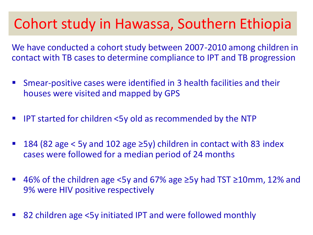### Cohort study in Hawassa, Southern Ethiopia

We have conducted a cohort study between 2007-2010 among children in contact with TB cases to determine compliance to IPT and TB progression

- Smear-positive cases were identified in 3 health facilities and their houses were visited and mapped by GPS
- IPT started for children <5y old as recommended by the NTP
- 184 (82 age < 5y and 102 age ≥5y) children in contact with 83 index cases were followed for a median period of 24 months
- 46% of the children age <5y and 67% age ≥5y had TST ≥10mm, 12% and 9% were HIV positive respectively
- 82 children age <5y initiated IPT and were followed monthly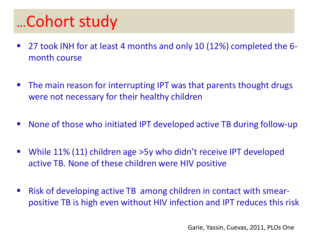# …Cohort study

- 27 took INH for at least 4 months and only 10 (12%) completed the 6month course
- The main reason for interrupting IPT was that parents thought drugs were not necessary for their healthy children
- None of those who initiated IPT developed active TB during follow-up
- While 11% (11) children age >5y who didn't receive IPT developed active TB. None of these children were HIV positive
- Risk of developing active TB among children in contact with smearpositive TB is high even without HIV infection and IPT reduces this risk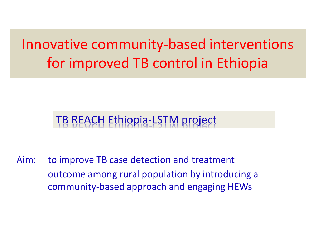## Innovative community-based interventions for improved TB control in Ethiopia

### TB REACH Ethiopia-LSTM project

Aim: to improve TB case detection and treatment outcome among rural population by introducing a community-based approach and engaging HEWs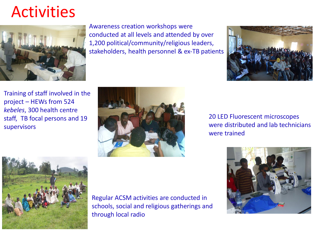## Activities



Awareness creation workshops were conducted at all levels and attended by over 1,200 political/community/religious leaders, stakeholders, health personnel & ex-TB patients



Training of staff involved in the project – HEWs from 524 *kebeles*, 300 health centre staff, TB focal persons and 19 supervisors



20 LED Fluorescent microscopes were distributed and lab technicians were trained





Regular ACSM activities are conducted in schools, social and religious gatherings and through local radio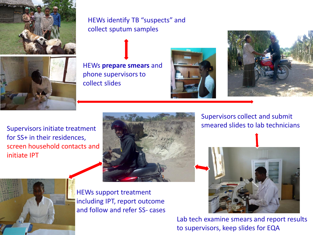

HEWs identify TB "suspects" and collect sputum samples



HEWs **prepare smears** and phone supervisors to collect slides





Supervisors initiate treatment for SS+ in their residences, screen household contacts and initiate IPT



Supervisors collect and submit smeared slides to lab technicians







HEWs support treatment including IPT, report outcome and follow and refer SS- cases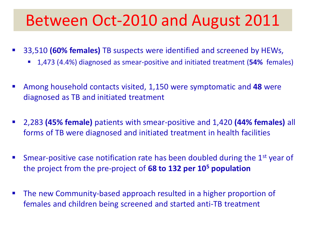## Between Oct-2010 and August 2011

- 33,510 **(60% females)** TB suspects were identified and screened by HEWs,
	- 1,473 (4.4%) diagnosed as smear-positive and initiated treatment (**54%** females)
- Among household contacts visited, 1,150 were symptomatic and **48** were diagnosed as TB and initiated treatment
- 2,283 **(45% female)** patients with smear-positive and 1,420 **(44% females)** all forms of TB were diagnosed and initiated treatment in health facilities
- Smear-positive case notification rate has been doubled during the 1<sup>st</sup> year of the project from the pre-project of **68 to 132 per 10<sup>5</sup> population**
- The new Community-based approach resulted in a higher proportion of females and children being screened and started anti-TB treatment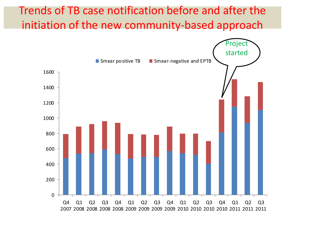#### Trends of TB case notification before and after the initiation of the new community-based approach

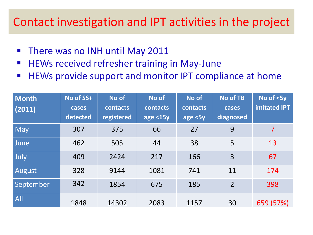#### Contact investigation and IPT activities in the project

- **There was no INH until May 2011**
- **HEWs received refresher training in May-June**
- **HEWs provide support and monitor IPT compliance at home**

| <b>Month</b><br>(2011) | No of SS+<br>cases<br>detected | No of<br>contacts<br>registered | No of<br>contacts<br>age <15y | No of<br>contacts<br>$\sqrt{age}$ <5y | <b>No of TB</b><br>cases<br>diagnosed | No of $<$ 5y<br><b>imitated IPT</b> |
|------------------------|--------------------------------|---------------------------------|-------------------------------|---------------------------------------|---------------------------------------|-------------------------------------|
| May                    | 307                            | 375                             | 66                            | 27                                    | 9                                     | $\overline{7}$                      |
| June                   | 462                            | 505                             | 44                            | 38                                    | 5                                     | 13                                  |
| July                   | 409                            | 2424                            | 217                           | 166                                   | 3                                     | 67                                  |
| August                 | 328                            | 9144                            | 1081                          | 741                                   | 11                                    | 174                                 |
| September              | 342                            | 1854                            | 675                           | 185                                   | $\overline{2}$                        | 398                                 |
| All                    | 1848                           | 14302                           | 2083                          | 1157                                  | 30                                    | 659 (57%)                           |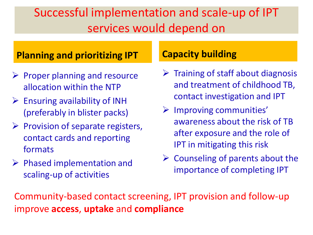### Successful implementation and scale-up of IPT services would depend on

#### **Planning and prioritizing IPT**

- $\triangleright$  Proper planning and resource allocation within the NTP
- $\triangleright$  Ensuring availability of INH (preferably in blister packs)
- $\triangleright$  Provision of separate registers, contact cards and reporting formats
- $\triangleright$  Phased implementation and scaling-up of activities

#### **Capacity building**

- $\triangleright$  Training of staff about diagnosis and treatment of childhood TB, contact investigation and IPT
- $\triangleright$  Improving communities' awareness about the risk of TB after exposure and the role of IPT in mitigating this risk
- $\triangleright$  Counseling of parents about the importance of completing IPT

Community-based contact screening, IPT provision and follow-up improve **access**, **uptake** and **compliance**